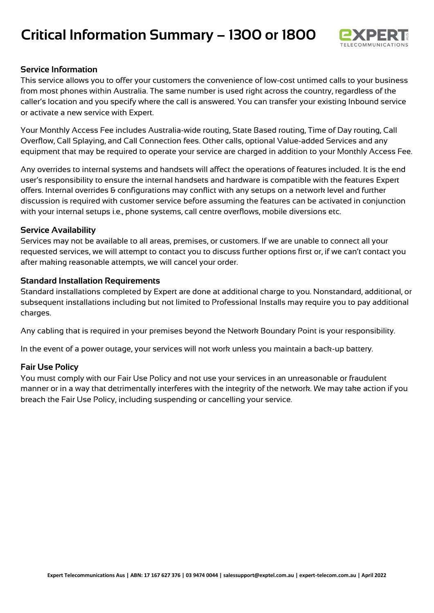# **Critical Information Summary – 1300 or 1800**



## **Service Information**

This service allows you to offer your customers the convenience of low-cost untimed calls to your business from most phones within Australia. The same number is used right across the country, regardless of the caller's location and you specify where the call is answered. You can transfer your existing Inbound service or activate a new service with Expert.

Your Monthly Access Fee includes Australia-wide routing, State Based routing, Time of Day routing, Call Overflow, Call Splaying, and Call Connection fees. Other calls, optional Value-added Services and any equipment that may be required to operate your service are charged in addition to your Monthly Access Fee.

Any overrides to internal systems and handsets will affect the operations of features included. It is the end user's responsibility to ensure the internal handsets and hardware is compatible with the features Expert offers. Internal overrides & configurations may conflict with any setups on a network level and further discussion is required with customer service before assuming the features can be activated in conjunction with your internal setups i.e., phone systems, call centre overflows, mobile diversions etc.

#### **Service Availability**

Services may not be available to all areas, premises, or customers. If we are unable to connect all your requested services, we will attempt to contact you to discuss further options first or, if we can't contact you after making reasonable attempts, we will cancel your order.

## **Standard Installation Requirements**

Standard installations completed by Expert are done at additional charge to you. Nonstandard, additional, or subsequent installations including but not limited to Professional Installs may require you to pay additional charges.

Any cabling that is required in your premises beyond the Network Boundary Point is your responsibility.

In the event of a power outage, your services will not work unless you maintain a back-up battery.

#### **Fair Use Policy**

You must comply with our Fair Use Policy and not use your services in an unreasonable or fraudulent manner or in a way that detrimentally interferes with the integrity of the network. We may take action if you breach the Fair Use Policy, including suspending or cancelling your service.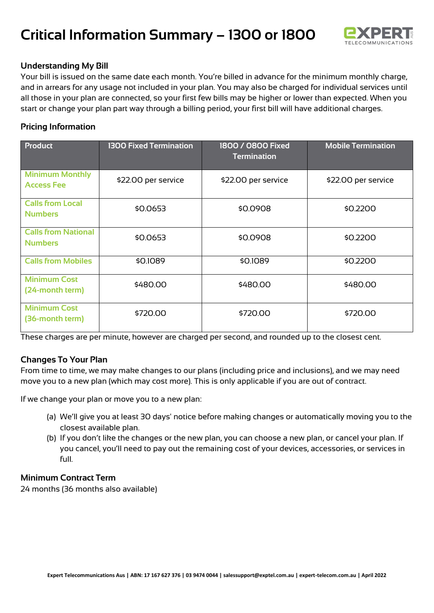

# **Understanding My Bill**

Your bill is issued on the same date each month. You're billed in advance for the minimum monthly charge, and in arrears for any usage not included in your plan. You may also be charged for individual services until all those in your plan are connected, so your first few bills may be higher or lower than expected. When you start or change your plan part way through a billing period, your first bill will have additional charges.

# **Pricing Information**

| <b>Product</b>                               | <b>1300 Fixed Termination</b> | 1800 / 0800 Fixed<br><b>Termination</b> | <b>Mobile Termination</b> |
|----------------------------------------------|-------------------------------|-----------------------------------------|---------------------------|
| <b>Minimum Monthly</b><br><b>Access Fee</b>  | \$22.00 per service           | \$22.00 per service                     | \$22.00 per service       |
| <b>Calls from Local</b><br><b>Numbers</b>    | \$0.0653                      | \$0.0908                                | \$0.2200                  |
| <b>Calls from National</b><br><b>Numbers</b> | \$0.0653                      | \$0.0908                                | \$0.2200                  |
| <b>Calls from Mobiles</b>                    | \$0.1089                      | \$0.1089                                | \$0.2200                  |
| <b>Minimum Cost</b><br>(24-month term)       | \$480.00                      | \$480.00                                | \$480.00                  |
| <b>Minimum Cost</b><br>(36-month term)       | \$720.00                      | \$720.00                                | \$720.00                  |

These charges are per minute, however are charged per second, and rounded up to the closest cent.

# **Changes To Your Plan**

From time to time, we may make changes to our plans (including price and inclusions), and we may need move you to a new plan (which may cost more). This is only applicable if you are out of contract.

If we change your plan or move you to a new plan:

- (a) We'll give you at least 30 days' notice before making changes or automatically moving you to the closest available plan.
- (b) If you don't like the changes or the new plan, you can choose a new plan, or cancel your plan. If you cancel, you'll need to pay out the remaining cost of your devices, accessories, or services in full.

## **Minimum Contract Term**

24 months (36 months also available)